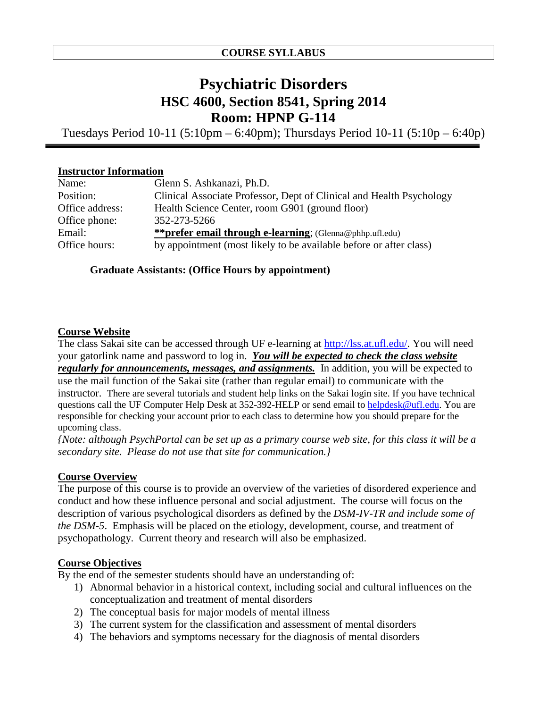## **Psychiatric Disorders HSC 4600, Section 8541, Spring 2014 Room: HPNP G-114**

Tuesdays Period 10-11 (5:10pm – 6:40pm); Thursdays Period 10-11 (5:10p – 6:40p)

#### **Instructor Information**

| Name:           | Glenn S. Ashkanazi, Ph.D.                                            |
|-----------------|----------------------------------------------------------------------|
| Position:       | Clinical Associate Professor, Dept of Clinical and Health Psychology |
| Office address: | Health Science Center, room G901 (ground floor)                      |
| Office phone:   | 352-273-5266                                                         |
| Email:          | <b>**prefer email through e-learning</b> ; (Glenna@phhp.ufl.edu)     |
| Office hours:   | by appointment (most likely to be available before or after class)   |

#### **Graduate Assistants: (Office Hours by appointment)**

#### **Course Website**

The class Sakai site can be accessed through UF e-learning at [http://lss.at.ufl.edu/.](http://lss.at.ufl.edu/) You will need your gatorlink name and password to log in. *You will be expected to check the class website regularly for announcements, messages, and assignments.* In addition, you will be expected to use the mail function of the Sakai site (rather than regular email) to communicate with the instructor. There are several tutorials and student help links on the Sakai login site. If you have technical questions call the UF Computer Help Desk at 352-392-HELP or send email to [helpdesk@ufl.edu.](mailto:helpdesk@ufl.edu) You are responsible for checking your account prior to each class to determine how you should prepare for the upcoming class.

*{Note: although PsychPortal can be set up as a primary course web site, for this class it will be a secondary site. Please do not use that site for communication.}*

## **Course Overview**

The purpose of this course is to provide an overview of the varieties of disordered experience and conduct and how these influence personal and social adjustment. The course will focus on the description of various psychological disorders as defined by the *DSM-IV-TR and include some of the DSM-5*. Emphasis will be placed on the etiology, development, course, and treatment of psychopathology. Current theory and research will also be emphasized.

#### **Course Objectives**

By the end of the semester students should have an understanding of:

- 1) Abnormal behavior in a historical context, including social and cultural influences on the conceptualization and treatment of mental disorders
- 2) The conceptual basis for major models of mental illness
- 3) The current system for the classification and assessment of mental disorders
- 4) The behaviors and symptoms necessary for the diagnosis of mental disorders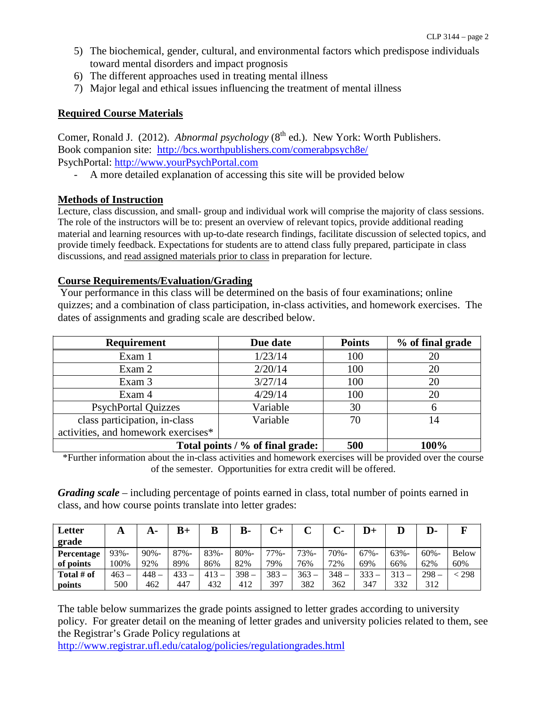- 5) The biochemical, gender, cultural, and environmental factors which predispose individuals toward mental disorders and impact prognosis
- 6) The different approaches used in treating mental illness
- 7) Major legal and ethical issues influencing the treatment of mental illness

## **Required Course Materials**

Comer, Ronald J. (2012). *Abnormal psychology* (8<sup>th</sup> ed.). New York: Worth Publishers. Book companion site: <http://bcs.worthpublishers.com/comerabpsych8e/> PsychPortal: [http://www.yourPsychPortal.com](http://www.yourpsychportal.com/)

A more detailed explanation of accessing this site will be provided below

## **Methods of Instruction**

Lecture, class discussion, and small- group and individual work will comprise the majority of class sessions. The role of the instructors will be to: present an overview of relevant topics, provide additional reading material and learning resources with up-to-date research findings, facilitate discussion of selected topics, and provide timely feedback. Expectations for students are to attend class fully prepared, participate in class discussions, and read assigned materials prior to class in preparation for lecture.

## **Course Requirements/Evaluation/Grading**

Your performance in this class will be determined on the basis of four examinations; online quizzes; and a combination of class participation, in-class activities, and homework exercises. The dates of assignments and grading scale are described below.

| <b>Requirement</b>                  | Due date | <b>Points</b> | % of final grade |
|-------------------------------------|----------|---------------|------------------|
| Exam 1                              | 1/23/14  | 100           | 20               |
| Exam 2                              | 2/20/14  | 100           | 20               |
| Exam 3                              | 3/27/14  | 100           | 20               |
| Exam 4                              | 4/29/14  | 100           | 20               |
| <b>PsychPortal Quizzes</b>          | Variable | 30            |                  |
| class participation, in-class       | Variable | 70            | 14               |
| activities, and homework exercises* |          |               |                  |
| Total points / % of final grade:    | 500      | 100%          |                  |

\*Further information about the in-class activities and homework exercises will be provided over the course of the semester. Opportunities for extra credit will be offered.

*Grading scale* – including percentage of points earned in class, total number of points earned in class, and how course points translate into letter grades:

| Letter<br>grade | A       |         | $B+$    | B       | В-      |         |      | C-   |         |         | D-      |                |
|-----------------|---------|---------|---------|---------|---------|---------|------|------|---------|---------|---------|----------------|
| Percentage      | 93%-    | $90% -$ | $87% -$ | $83% -$ | $80% -$ | 77%-    | 73%- | 70%- | $67% -$ | $63% -$ | $60% -$ | <b>Below</b>   |
| of points       | 100%    | 92%     | 89%     | 86%     | 82%     | 79%     | 76%  | 72%  | 69%     | 66%     | 62%     | 60%            |
| Total # of      | $463 -$ | $448 -$ | 433     | $413-$  | $398 -$ | $383 -$ | 363  | 348  | $333 -$ | 313     | $298 -$ | $\lesssim$ 298 |
| points          | 500     | 462     | 447     | 432     | 412     | 397     | 382  | 362  | 347     | 332     | 312     |                |

The table below summarizes the grade points assigned to letter grades according to university policy. For greater detail on the meaning of letter grades and university policies related to them, see the Registrar's Grade Policy regulations at

<http://www.registrar.ufl.edu/catalog/policies/regulationgrades.html>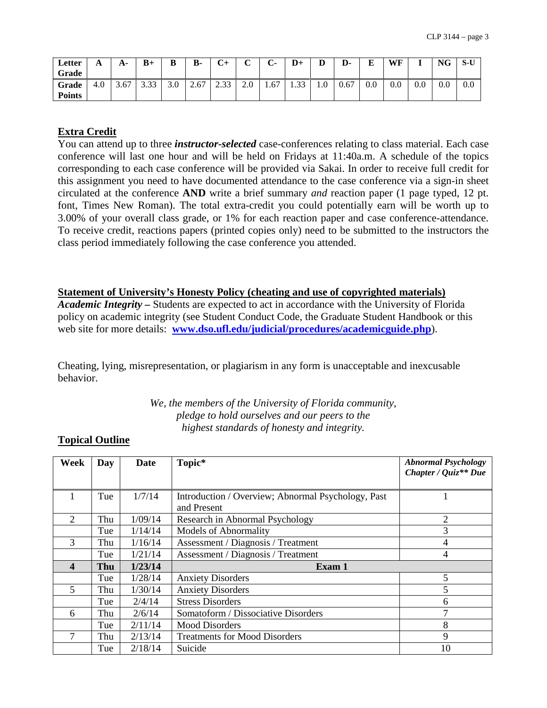| Letter<br>Grade        | A   | А-   | $B+$ | B   | <b>B-</b> | $C+$ | $\sim$<br>ັ | $\sim$<br>$\mathord{\mathsf{C}}$ | $D+$              | D   | D-   | $\mathbf{r}$ | WF  |     | <b>NG</b> | S-U |
|------------------------|-----|------|------|-----|-----------|------|-------------|----------------------------------|-------------------|-----|------|--------------|-----|-----|-----------|-----|
| Grade<br><b>Points</b> | 4.0 | 3.67 | 3.33 | 3.0 | 2.67      | 2.33 | 2.0         | 1.67                             | $\bigcap$<br>1.33 | 1.0 | 0.67 | $0.0\,$      | 0.0 | 0.0 | 0.0       | 0.0 |

#### **Extra Credit**

You can attend up to three *instructor-selected* case-conferences relating to class material. Each case conference will last one hour and will be held on Fridays at 11:40a.m. A schedule of the topics corresponding to each case conference will be provided via Sakai. In order to receive full credit for this assignment you need to have documented attendance to the case conference via a sign-in sheet circulated at the conference **AND** write a brief summary *and* reaction paper (1 page typed, 12 pt. font, Times New Roman). The total extra-credit you could potentially earn will be worth up to 3.00% of your overall class grade, or 1% for each reaction paper and case conference-attendance. To receive credit, reactions papers (printed copies only) need to be submitted to the instructors the class period immediately following the case conference you attended.

#### **Statement of University's Honesty Policy (cheating and use of copyrighted materials)**

*Academic Integrity –* Students are expected to act in accordance with the University of Florida policy on academic integrity (see Student Conduct Code, the Graduate Student Handbook or this web site for more details: **[www.dso.ufl.edu/judicial/procedures/academicguide.php](http://www.dso.ufl.edu/judicial/procedures/academicguide.php)**).

Cheating, lying, misrepresentation, or plagiarism in any form is unacceptable and inexcusable behavior.

> *We, the members of the University of Florida community, pledge to hold ourselves and our peers to the highest standards of honesty and integrity.*

#### **Topical Outline**

| Week | Day | Date    | Topic*                                             | <b>Abnormal Psychology</b><br>Chapter / Quiz <sup>**</sup> Due |
|------|-----|---------|----------------------------------------------------|----------------------------------------------------------------|
|      |     |         |                                                    |                                                                |
|      | Tue | 1/7/14  | Introduction / Overview; Abnormal Psychology, Past |                                                                |
|      |     |         | and Present                                        |                                                                |
| 2    | Thu | 1/09/14 | Research in Abnormal Psychology                    | 2                                                              |
|      | Tue | 1/14/14 | <b>Models of Abnormality</b>                       | 3                                                              |
| 3    | Thu | 1/16/14 | Assessment / Diagnosis / Treatment                 | 4                                                              |
|      | Tue | 1/21/14 | Assessment / Diagnosis / Treatment                 | 4                                                              |
| 4    | Thu | 1/23/14 | Exam 1                                             |                                                                |
|      | Tue | 1/28/14 | <b>Anxiety Disorders</b>                           | 5                                                              |
| 5    | Thu | 1/30/14 | <b>Anxiety Disorders</b>                           | 5                                                              |
|      | Tue | 2/4/14  | <b>Stress Disorders</b>                            | 6                                                              |
| 6    | Thu | 2/6/14  | Somatoform / Dissociative Disorders                | 7                                                              |
|      | Tue | 2/11/14 | <b>Mood Disorders</b>                              | 8                                                              |
|      | Thu | 2/13/14 | <b>Treatments for Mood Disorders</b>               | 9                                                              |
|      | Tue | 2/18/14 | Suicide                                            | 10                                                             |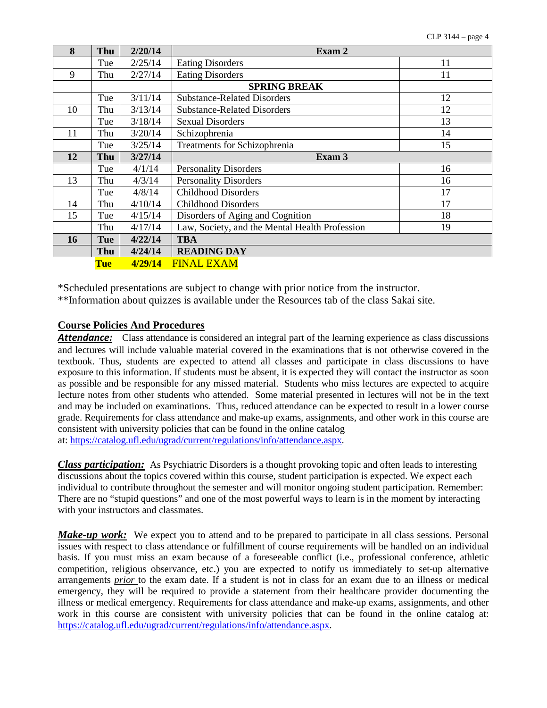| 8  | Thu        | 2/20/14 | Exam 2                                         |    |
|----|------------|---------|------------------------------------------------|----|
|    | Tue        | 2/25/14 | <b>Eating Disorders</b>                        | 11 |
| 9  | Thu        | 2/27/14 | <b>Eating Disorders</b>                        | 11 |
|    |            |         | <b>SPRING BREAK</b>                            |    |
|    | Tue        | 3/11/14 | <b>Substance-Related Disorders</b>             | 12 |
| 10 | Thu        | 3/13/14 | <b>Substance-Related Disorders</b>             | 12 |
|    | Tue        | 3/18/14 | <b>Sexual Disorders</b>                        | 13 |
| 11 | Thu        | 3/20/14 | Schizophrenia                                  | 14 |
|    | Tue        | 3/25/14 | Treatments for Schizophrenia                   | 15 |
| 12 | Thu        | 3/27/14 | Exam 3                                         |    |
|    | Tue        | 4/1/14  | <b>Personality Disorders</b>                   | 16 |
| 13 | Thu        | 4/3/14  | <b>Personality Disorders</b>                   | 16 |
|    | Tue        | 4/8/14  | <b>Childhood Disorders</b>                     | 17 |
| 14 | Thu        | 4/10/14 | <b>Childhood Disorders</b>                     | 17 |
| 15 | Tue        | 4/15/14 | Disorders of Aging and Cognition               | 18 |
|    | Thu        | 4/17/14 | Law, Society, and the Mental Health Profession | 19 |
| 16 | Tue        | 4/22/14 | <b>TBA</b>                                     |    |
|    | Thu        | 4/24/14 | <b>READING DAY</b>                             |    |
|    | <b>Tue</b> | 4/29/14 | <b>FINAL EXAM</b>                              |    |

\*Scheduled presentations are subject to change with prior notice from the instructor.

\*\*Information about quizzes is available under the Resources tab of the class Sakai site.

#### **Course Policies And Procedures**

*Attendance:* Class attendance is considered an integral part of the learning experience as class discussions and lectures will include valuable material covered in the examinations that is not otherwise covered in the textbook. Thus, students are expected to attend all classes and participate in class discussions to have exposure to this information. If students must be absent, it is expected they will contact the instructor as soon as possible and be responsible for any missed material. Students who miss lectures are expected to acquire lecture notes from other students who attended. Some material presented in lectures will not be in the text and may be included on examinations. Thus, reduced attendance can be expected to result in a lower course grade. Requirements for class attendance and make-up exams, assignments, and other work in this course are consistent with university policies that can be found in the online catalog at: [https://catalog.ufl.edu/ugrad/current/regulations/info/attendance.aspx.](https://catalog.ufl.edu/ugrad/current/regulations/info/attendance.aspx)

*Class participation:* As Psychiatric Disorders is a thought provoking topic and often leads to interesting discussions about the topics covered within this course, student participation is expected. We expect each individual to contribute throughout the semester and will monitor ongoing student participation. Remember: There are no "stupid questions" and one of the most powerful ways to learn is in the moment by interacting with your instructors and classmates.

*Make-up work:* We expect you to attend and to be prepared to participate in all class sessions. Personal issues with respect to class attendance or fulfillment of course requirements will be handled on an individual basis. If you must miss an exam because of a foreseeable conflict (i.e., professional conference, athletic competition, religious observance, etc.) you are expected to notify us immediately to set-up alternative arrangements *prior* to the exam date. If a student is not in class for an exam due to an illness or medical emergency, they will be required to provide a statement from their healthcare provider documenting the illness or medical emergency. Requirements for class attendance and make-up exams, assignments, and other work in this course are consistent with university policies that can be found in the online catalog at: [https://catalog.ufl.edu/ugrad/current/regulations/info/attendance.aspx.](https://catalog.ufl.edu/ugrad/current/regulations/info/attendance.aspx)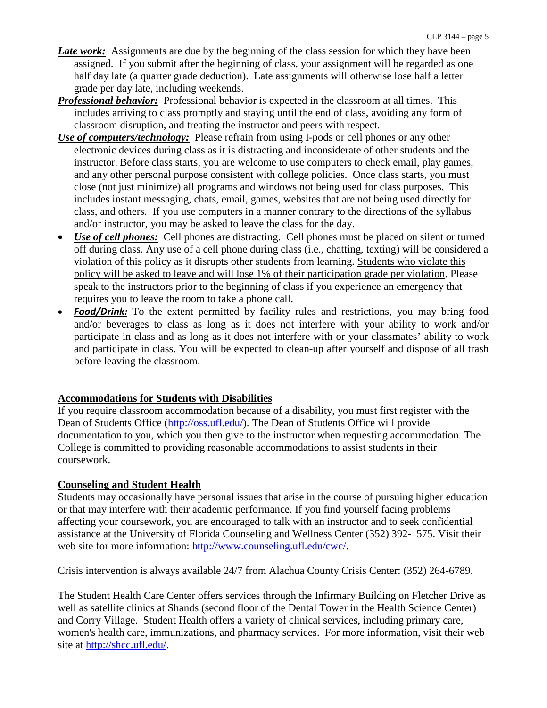- *Late work:* Assignments are due by the beginning of the class session for which they have been assigned. If you submit after the beginning of class, your assignment will be regarded as one half day late (a quarter grade deduction). Late assignments will otherwise lose half a letter grade per day late, including weekends.
- *Professional behavior:* Professional behavior is expected in the classroom at all times. This includes arriving to class promptly and staying until the end of class, avoiding any form of classroom disruption, and treating the instructor and peers with respect.
- *Use of computers/technology:* Please refrain from using I-pods or cell phones or any other electronic devices during class as it is distracting and inconsiderate of other students and the instructor. Before class starts, you are welcome to use computers to check email, play games, and any other personal purpose consistent with college policies. Once class starts, you must close (not just minimize) all programs and windows not being used for class purposes. This includes instant messaging, chats, email, games, websites that are not being used directly for class, and others. If you use computers in a manner contrary to the directions of the syllabus and/or instructor, you may be asked to leave the class for the day.
- *Use of cell phones:* Cell phones are distracting. Cell phones must be placed on silent or turned off during class. Any use of a cell phone during class (i.e., chatting, texting) will be considered a violation of this policy as it disrupts other students from learning. Students who violate this policy will be asked to leave and will lose 1% of their participation grade per violation. Please speak to the instructors prior to the beginning of class if you experience an emergency that requires you to leave the room to take a phone call.
- **Food/Drink:** To the extent permitted by facility rules and restrictions, you may bring food and/or beverages to class as long as it does not interfere with your ability to work and/or participate in class and as long as it does not interfere with or your classmates' ability to work and participate in class. You will be expected to clean-up after yourself and dispose of all trash before leaving the classroom.

#### **Accommodations for Students with Disabilities**

If you require classroom accommodation because of a disability, you must first register with the Dean of Students Office [\(http://oss.ufl.edu/\)](http://oss.ufl.edu/). The Dean of Students Office will provide documentation to you, which you then give to the instructor when requesting accommodation. The College is committed to providing reasonable accommodations to assist students in their coursework.

## **Counseling and Student Health**

Students may occasionally have personal issues that arise in the course of pursuing higher education or that may interfere with their academic performance. If you find yourself facing problems affecting your coursework, you are encouraged to talk with an instructor and to seek confidential assistance at the University of Florida Counseling and Wellness Center (352) 392-1575. Visit their web site for more information: [http://www.counseling.ufl.edu/cwc/.](http://www.counseling.ufl.edu/cwc/)

Crisis intervention is always available 24/7 from Alachua County Crisis Center: (352) 264-6789.

The Student Health Care Center offers services through the Infirmary Building on Fletcher Drive as well as satellite clinics at Shands (second floor of the Dental Tower in the Health Science Center) and Corry Village. Student Health offers a variety of clinical services, including primary care, women's health care, immunizations, and pharmacy services. For more information, visit their web site at [http://shcc.ufl.edu/.](http://shcc.ufl.edu/)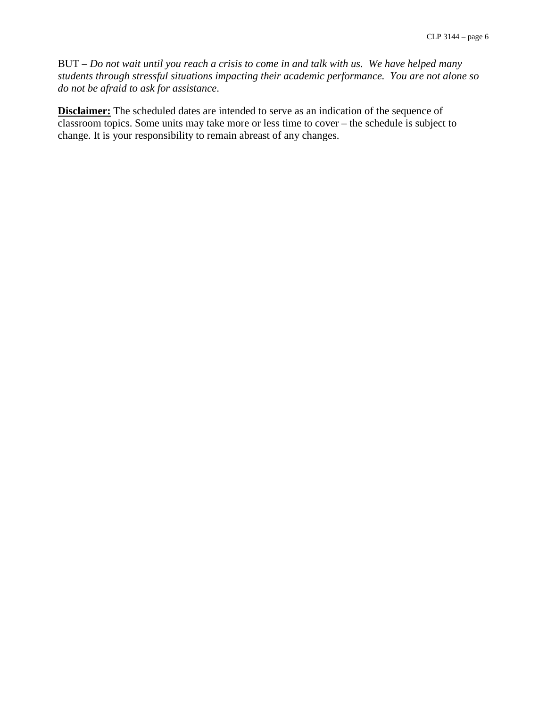BUT – *Do not wait until you reach a crisis to come in and talk with us. We have helped many students through stressful situations impacting their academic performance. You are not alone so do not be afraid to ask for assistance*.

**Disclaimer:** The scheduled dates are intended to serve as an indication of the sequence of classroom topics. Some units may take more or less time to cover – the schedule is subject to change. It is your responsibility to remain abreast of any changes.